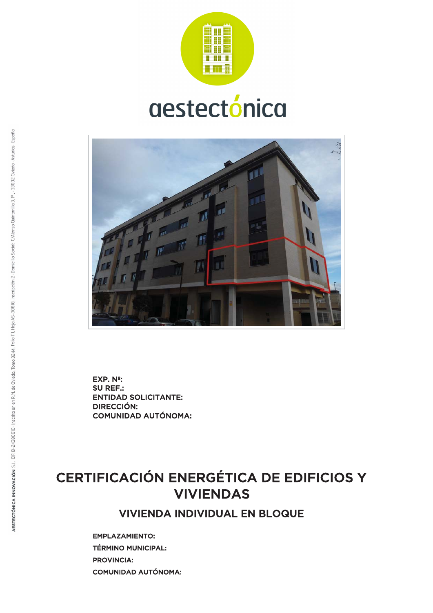

# aestectónica



**ENTIDAD SOLICITANTE:** DIRECCIÓN: **COMUNIDAD AUTÓNOMA:** SU REF.:  $EXP. N<sup>2</sup>$ :

# CERTIFICACIÓN ENERGÉTICA DE EDIFICIOS Y VIVIENDAS

VIVIENDA INDIVIDUAL EN BLOQUE

EMPLAZAMIENTO: TÉRMINO MUNICIPAL: PROVINCIA: **COMUNIDAD AUTÓNOMA:**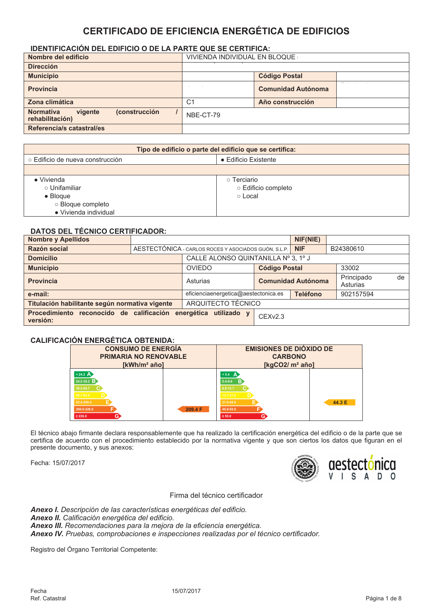# **CERTIFICADO DE EFICIENCIA ENERGÉTICA DE EDIFICIOS**

# IDENTIFICACIÓN DEL EDIFICIO O DE LA PARTE QUE SE CERTIFICA:

| Nombre del edificio                                             | VIVIENDA INDIVIDUAL EN BLOQUE |                      |  |
|-----------------------------------------------------------------|-------------------------------|----------------------|--|
| <b>Dirección</b>                                                |                               |                      |  |
| <b>Municipio</b>                                                |                               | <b>Código Postal</b> |  |
| <b>Provincia</b>                                                | <b>Comunidad Autónoma</b>     |                      |  |
| Zona climática                                                  | C <sub>1</sub>                | Año construcción     |  |
| (construcción<br><b>Normativa</b><br>vigente<br>rehabilitación) | NBE-CT-79                     |                      |  |
| Referencia/s catastral/es                                       |                               |                      |  |

| Tipo de edificio o parte del edificio que se certifica: |                      |  |  |  |
|---------------------------------------------------------|----------------------|--|--|--|
| ○ Edificio de nueva construcción                        | • Edificio Existente |  |  |  |
|                                                         |                      |  |  |  |
| $\bullet$ Vivienda                                      | ○ Terciario          |  |  |  |
| ○ Unifamiliar                                           | ○ Edificio completo  |  |  |  |
| $\bullet$ Bloque                                        | ○ Local              |  |  |  |
| o Bloque completo                                       |                      |  |  |  |
| • Vivienda individual                                   |                      |  |  |  |

# **DATOS DEL TÉCNICO CERTIFICADOR:**

| <b>Nombre y Apellidos</b>                                       |  |                                                         | NIF(NIE)                            |            |                              |
|-----------------------------------------------------------------|--|---------------------------------------------------------|-------------------------------------|------------|------------------------------|
| Razón social                                                    |  | AESTECTÓNICA - CARLOS ROCES Y ASOCIADOS GIJÓN, S.L.P.   |                                     | <b>NIF</b> | B24380610                    |
| <b>Domicilio</b>                                                |  |                                                         | CALLE ALONSO QUINTANILLA Nº 3, 1º J |            |                              |
| <b>Municipio</b>                                                |  | <b>OVIEDO</b>                                           | <b>Código Postal</b>                |            | 33002                        |
| <b>Provincia</b>                                                |  | Asturias                                                | <b>Comunidad Autónoma</b>           |            | Principado<br>de<br>Asturias |
| e-mail:                                                         |  | <b>Teléfono</b><br>eficienciaenergetica@aestectonica.es |                                     | 902157594  |                              |
| Titulación habilitante según normativa vigente                  |  | ARQUITECTO TÉCNICO                                      |                                     |            |                              |
| Procedimiento reconocido de calificación energética<br>versión: |  | utilizado y                                             | CEXv2.3                             |            |                              |

#### CALIFICACIÓN ENFRGÉTICA ORTENIDA.

| <b>CONSUMO DE ENERGÍA</b>    |         | <b>EMISIONES DE DIÓXIDO DE</b> |        |  |  |
|------------------------------|---------|--------------------------------|--------|--|--|
| <b>PRIMARIA NO RENOVABLE</b> |         | <b>CARBONO</b>                 |        |  |  |
| [kWh/m <sup>2</sup> año]     |         | [ $kgCO2/m2$ año]              |        |  |  |
| $< 24.2 \text{ A}$           |         | $5.4$ A                        |        |  |  |
| $24.2 - 39.2$ B              |         | $5.4 - 8.8$ B                  |        |  |  |
| 39.2-60.7                    |         | 8.8-13.7                       |        |  |  |
| 60.7-93.4                    |         | $13.7 - 21.0$                  |        |  |  |
| 93.4-200.0                   |         | 21.0-45.9                      | 44.3 E |  |  |
| 200.0-226.0                  | 209.4 F | 45.9-55.0                      |        |  |  |
| G)<br>$\geq 226.0$           |         | G.<br>$\geq 55.0$              |        |  |  |

El técnico abajo firmante declara responsablemente que ha realizado la certificación energética del edificio o de la parte que se certifica de acuerdo con el procedimiento establecido por la normativa vigente y que son ciertos los datos que figuran en el presente documento, y sus anexos:

Fecha: 15/07/2017



Firma del técnico certificador

Anexo I. Descripción de las características energéticas del edificio. Anexo II. Calificación energética del edificio. Anexo III. Recomendaciones para la mejora de la eficiencia energética. Anexo IV. Pruebas, comprobaciones e inspecciones realizadas por el técnico certificador.

Registro del Órgano Territorial Competente: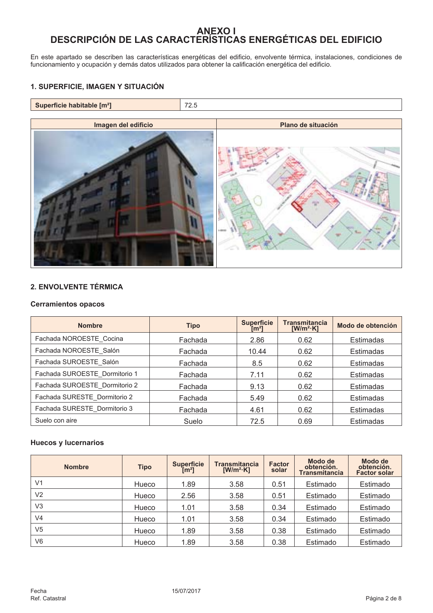# ANEXO I<br>DESCRIPCIÓN DE LAS CARACTERÍSTICAS ENERGÉTICAS DEL EDIFICIO

En este apartado se describen las características energéticas del edificio, envolvente térmica, instalaciones, condiciones de<br>funcionamiento y ocupación y demás datos utilizados para obtener la calificación energética del

# 1. SUPERFICIE, IMAGEN Y SITUACIÓN



# 2. ENVOLVENTE TÉRMICA

#### **Cerramientos opacos**

| <b>Nombre</b>                 | <b>Tipo</b> | <b>Superficie</b><br>$\mathsf{[m^2]}$ | <b>Transmitancia</b><br>$[W/m^2·K]$ | Modo de obtención |
|-------------------------------|-------------|---------------------------------------|-------------------------------------|-------------------|
| Fachada NOROESTE Cocina       | Fachada     | 2.86                                  | 0.62                                | <b>Estimadas</b>  |
| Fachada NOROESTE Salón        | Fachada     | 10.44                                 | 0.62                                | Estimadas         |
| Fachada SUROESTE Salón        | Fachada     | 8.5                                   | 0.62                                | <b>Estimadas</b>  |
| Fachada SUROESTE Dormitorio 1 | Fachada     | 7.11                                  | 0.62                                | Estimadas         |
| Fachada SUROESTE_Dormitorio 2 | Fachada     | 9.13                                  | 0.62                                | Estimadas         |
| Fachada SURESTE Dormitorio 2  | Fachada     | 5.49                                  | 0.62                                | <b>Estimadas</b>  |
| Fachada SURESTE Dormitorio 3  | Fachada     | 4.61                                  | 0.62                                | <b>Estimadas</b>  |
| Suelo con aire                | Suelo       | 72.5                                  | 0.69                                | Estimadas         |

# **Huecos y lucernarios**

| <b>Nombre</b>  | <b>Tipo</b> | <b>Superficie</b><br>[m <sup>2</sup> ] | <b>Transmitancia</b><br>$[W/m^2·K]$ | <b>Factor</b><br>solar | Modo de<br>obtención.<br><b>Transmitancia</b> | Modo de<br>obtención.<br><b>Factor solar</b> |
|----------------|-------------|----------------------------------------|-------------------------------------|------------------------|-----------------------------------------------|----------------------------------------------|
| V <sub>1</sub> | Hueco       | 1.89                                   | 3.58                                | 0.51                   | Estimado                                      | Estimado                                     |
| V <sub>2</sub> | Hueco       | 2.56                                   | 3.58                                | 0.51                   | Estimado                                      | Estimado                                     |
| V <sub>3</sub> | Hueco       | 1.01                                   | 3.58                                | 0.34                   | Estimado                                      | Estimado                                     |
| V <sub>4</sub> | Hueco       | 1.01                                   | 3.58                                | 0.34                   | Estimado                                      | Estimado                                     |
| V <sub>5</sub> | Hueco       | 1.89                                   | 3.58                                | 0.38                   | Estimado                                      | Estimado                                     |
| V <sub>6</sub> | Hueco       | 1.89                                   | 3.58                                | 0.38                   | Estimado                                      | Estimado                                     |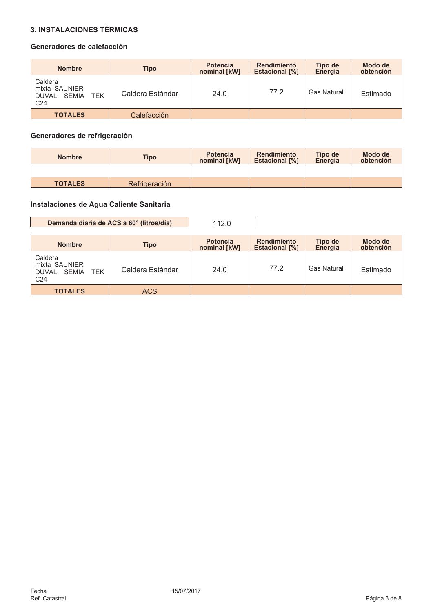# **3. INSTALACIONES TÉRMICAS**

# Generadores de calefacción

| <b>Nombre</b>                                                                      | Tipo             | <b>Potencia</b><br>nominal [kW] | <b>Rendimiento</b><br><b>Estacional [%]</b> | Tipo de<br>Energía | Modo de<br>obtención |
|------------------------------------------------------------------------------------|------------------|---------------------------------|---------------------------------------------|--------------------|----------------------|
| Caldera<br>mixta SAUNIER<br><b>TEK</b><br><b>DUVAL</b><br>SEMIA<br>C <sub>24</sub> | Caldera Estándar | 24.0                            | 77.2                                        | <b>Gas Natural</b> | Estimado             |
| <b>TOTALES</b>                                                                     | Calefacción      |                                 |                                             |                    |                      |

# Generadores de refrigeración

| <b>Nombre</b>  | <b>Tipo</b>   | <b>Potencia</b><br>nominal [kW] | <b>Rendimiento</b><br><b>Estacional [%]</b> | <b>Tipo de</b><br>Energía | Modo de<br>obtención |
|----------------|---------------|---------------------------------|---------------------------------------------|---------------------------|----------------------|
|                |               |                                 |                                             |                           |                      |
| <b>TOTALES</b> | Refrigeración |                                 |                                             |                           |                      |

# Instalaciones de Agua Caliente Sanitaria

| Demanda diaria de ACS a 60° (litros/día) | 112.0 |
|------------------------------------------|-------|
|------------------------------------------|-------|

| <b>Nombre</b>                                                                      | Tipo             | <b>Potencia</b><br>nominal [kW] | <b>Rendimiento</b><br><b>Estacional [%]</b> | Tipo de<br>Energía | Modo de<br>obtención |
|------------------------------------------------------------------------------------|------------------|---------------------------------|---------------------------------------------|--------------------|----------------------|
| Caldera<br>mixta SAUNIER<br>SEMIA<br><b>TEK</b><br><b>DUVAL</b><br>C <sub>24</sub> | Caldera Estándar | 24.0                            | 77.2                                        | <b>Gas Natural</b> | Estimado             |
| <b>TOTALES</b>                                                                     | ACS              |                                 |                                             |                    |                      |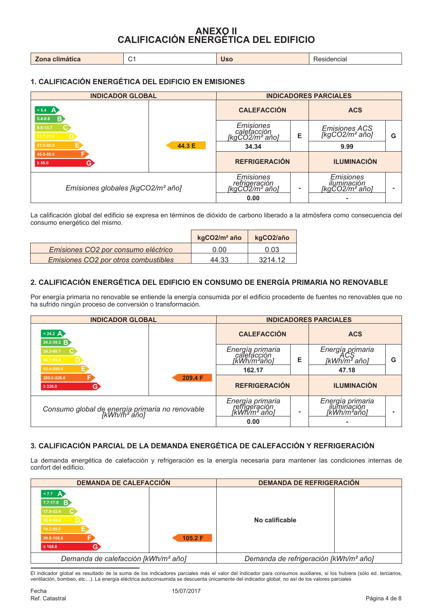# ANEXO II<br>CALIFICACIÓN ENERGÉTICA DEL EDIFICIO

| $\mathbf{r}$<br><b>Zona</b><br>СШ<br>and HG.<br>$\sim$ $\sim$<br>. | IS. | encial |
|--------------------------------------------------------------------|-----|--------|
|--------------------------------------------------------------------|-----|--------|

# 1. CALIFICACIÓN ENERGÉTICA DEL EDIFICIO EN EMISIONES

| <b>INDICADOR GLOBAL</b>                       |        | <b>INDICADORES PARCIALES</b>                                  |   |                                                   |   |
|-----------------------------------------------|--------|---------------------------------------------------------------|---|---------------------------------------------------|---|
| $< 5.4 \quad \textbf{A}$<br>B<br>$5.4 - 8.8$  |        | <b>CALEFACCIÓN</b>                                            |   | <b>ACS</b>                                        |   |
| 8.8-13.7<br>13.7-21.0                         |        | <b>Emisiones</b><br>calefacción<br>[kgCO2/m <sup>2</sup> año] | E | Emisiones ACS<br>[kgCO2/m² año]                   | G |
| 21.0-45.9                                     | 44.3 E | 34.34                                                         |   | 9.99                                              |   |
| 45.9-55.0<br>G)<br>$\geq 55.0$                |        | <b>REFRIGERACIÓN</b>                                          |   | <b>ILUMINACIÓN</b>                                |   |
| Emisiones globales [kgCO2/m <sup>2</sup> año] |        | Emisiones<br>refrigeración<br>[kgCO2/m² año]<br>0.00          |   | Emisiones<br><i>iluminación</i><br>[kgCO2/m² año] |   |

La calificación global del edificio se expresa en términos de dióxido de carbono liberado a la atmósfera como consecuencia del consumo energético del mismo.

|                                      | kgCO2/m <sup>2</sup> año | kgCO2/año |
|--------------------------------------|--------------------------|-----------|
| Emisiones CO2 por consumo eléctrico  | ი იი                     | 0.03      |
| Emisiones CO2 por otros combustibles | 44 33                    | 3214.12   |

# 2. CALIFICACIÓN ENERGÉTICA DEL EDIFICIO EN CONSUMO DE ENERGÍA PRIMARIA NO RENOVABLE

Por energía primaria no renovable se entiende la energía consumida por el edificio procedente de fuentes no renovables que no ha sufrido ningún proceso de conversión o transformación.

| <b>INDICADOR GLOBAL</b>                                                     |         | <b>INDICADORES PARCIALES</b>                              |   |                                                |   |  |  |  |
|-----------------------------------------------------------------------------|---------|-----------------------------------------------------------|---|------------------------------------------------|---|--|--|--|
| $< 24.2 \Delta$<br>24.2-39.2 B                                              |         | <b>CALEFACCIÓN</b>                                        |   | <b>ACS</b>                                     |   |  |  |  |
| 39.2-60.7<br>60.7-93.4                                                      |         | Energía primaria<br>calefacción<br>[kWh/m²año]            | Е | Energía primaria<br>ACS<br>[kWh/m² año]        | G |  |  |  |
| 93.4-200.0                                                                  |         | 162.17                                                    |   | 47.18                                          |   |  |  |  |
| 200.0-226.0<br>G)<br>$\geq 226.0$                                           | 209.4 F | <b>REFRIGERACIÓN</b>                                      |   |                                                |   |  |  |  |
| Consumo global de energía primaria no renovable<br>[kWh/m <sup>2</sup> año] |         | Energía primaria<br>refrigeración<br>[kWh/m² año]<br>0.00 |   | Energía primaria<br>iluminación<br>[kWh/m²año] |   |  |  |  |

# 3. CALIFICACIÓN PARCIAL DE LA DEMANDA ENERGÉTICA DE CALEFACCIÓN Y REFRIGERACIÓN

La demanda energética de calefacción y refrigeración es la energía necesaria para mantener las condiciones internas de confort del edificio.

| <b>DEMANDA DE CALEFACCIÓN</b>                                                                            |         | <b>DEMANDA DE REFRIGERACIÓN</b>                   |  |  |  |  |  |  |
|----------------------------------------------------------------------------------------------------------|---------|---------------------------------------------------|--|--|--|--|--|--|
| 57.7 <sup>h</sup><br>$7.7 - 17.9$ B<br>17.9-32.4<br>32.4-54.2<br>54.2-99.8<br>99.8-108.8<br>$\geq 108.8$ | 105.2 F | No calificable                                    |  |  |  |  |  |  |
| Demanda de calefacción [kWh/m <sup>2</sup> año]                                                          |         | Demanda de refrigeración [kWh/m <sup>2</sup> año] |  |  |  |  |  |  |

El indicador global es resultado de la suma de los indicadores parciales más el valor del indicador para consumos auxiliares, si los hubiera (sólo ed. terciarios,<br>ventilación, bombeo, etc...). La energía eléctrica autocons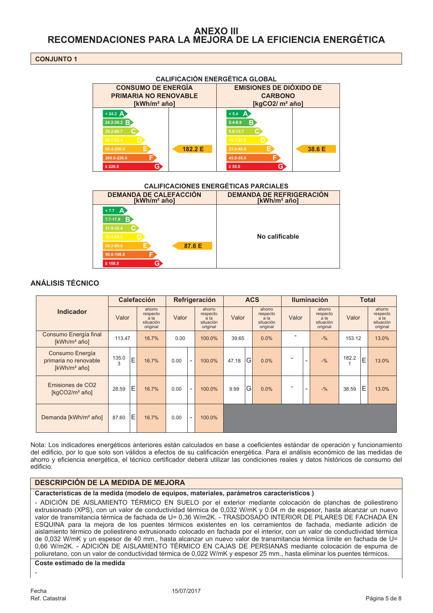# **ANEXO III** RECOMENDACIONES PARA LA MEJORA DE LA EFICIENCIA ENERGÉTICA

#### **CONJUNTO 1**



#### **CALIFICACIÓN ENERGÉTICA GLOBAL**

#### **CALIFICACIONES ENERGÉTICAS PARCIALES**

| <b>DEMANDA DE CALEFACCIÓN</b>                                                                                        | <b>DEMANDA DE REFRIGERACIÓN</b> |
|----------------------------------------------------------------------------------------------------------------------|---------------------------------|
| [kWh/m <sup>2</sup> año]                                                                                             | [kWh/m <sup>2</sup> año]        |
| < 7.7<br>А<br>в<br>$7.7 - 17.9$<br>17.9-32.4<br>32.4-54.2<br>87.6 E<br>54.2-99.8<br>99.8-108.8<br>G.<br>$\geq 108.8$ | No calificable                  |

# **ANÁLISIS TÉCNICO**

|                                                                      | <b>Calefacción</b> |   |                                                     |       | Refrigeración            |                                                     |       | <b>ACS</b> |                                                     |       |                          | <b>Iluminación</b>                                  | <b>Total</b> |   |                                                     |
|----------------------------------------------------------------------|--------------------|---|-----------------------------------------------------|-------|--------------------------|-----------------------------------------------------|-------|------------|-----------------------------------------------------|-------|--------------------------|-----------------------------------------------------|--------------|---|-----------------------------------------------------|
| <b>Indicador</b>                                                     | Valor              |   | ahorro<br>respecto<br>a la<br>situación<br>original | Valor |                          | ahorro<br>respecto<br>a la<br>situación<br>original | Valor |            | ahorro<br>respecto<br>a la<br>situación<br>original | Valor |                          | ahorro<br>respecto<br>a la<br>situación<br>original | Valor        |   | ahorro<br>respecto<br>a la<br>situación<br>original |
| Consumo Energía final<br>[kWh/m <sup>2</sup> año]                    | 113.47             |   | 16.7%                                               | 0.00  |                          | 100.0%                                              | 39.65 |            | 0.0%                                                |       |                          | $-9/6$                                              | 153.12       |   | 13.0%                                               |
| Consumo Energía<br>primaria no renovable<br>[kWh/m <sup>2</sup> año] | 135.0<br>3         | E | 16.7%                                               | 0.00  | $\overline{\phantom{a}}$ | 100.0%                                              | 47.18 | G          | 0.0%                                                |       | $\overline{\phantom{a}}$ | $-9/6$                                              | 182.2        | E | 13.0%                                               |
| Emisiones de CO <sub>2</sub><br>[ $kgCO2/m2$ año]                    | 28.59              | E | 16.7%                                               | 0.00  | $\overline{\phantom{a}}$ | 100.0%                                              | 9.99  | G          | 0.0%                                                |       | $\overline{\phantom{0}}$ | $-9/6$                                              | 38.59        | Ε | 13.0%                                               |
| Demanda [kWh/m <sup>2</sup> año]                                     | 87.60              | E | 16.7%                                               | 0.00  | $\overline{\phantom{a}}$ | 100.0%                                              |       |            |                                                     |       |                          |                                                     |              |   |                                                     |

Nota: Los indicadores energéticos anteriores están calculados en base a coeficientes estándar de operación y funcionamiento del edificio, por lo que solo son válidos a efectos de su calificación energética. Para el análisis económico de las medidas de ahorro y eficiencia energética, el técnico certificador deberá utilizar las condiciones reales y datos históricos de consumo del edificio.

#### **DESCRIPCIÓN DE LA MEDIDA DE MEJORA**

Características de la medida (modelo de equipos, materiales, parámetros característicos)

- ADICIÓN DE AISLAMIENTO TÉRMICO EN SUELO por el exterior mediante colocación de planchas de poliestireno extrusionado (XPS), con un valor de conductividad térmica de 0,032 W/mK y 0.04 m de espesor, hasta alcanzar un nuevo valor de transmitancia térmica de fachada de U= 0.36 W/m2K. - TRASDOSADO INTERIOR DE PILARES DE FACHADA EN ESQUINA para la mejora de los puentes térmicos existentes en los cerramientos de fachada, mediante adición de aislamiento térmico de poliestireno extrusionado colocado en fachada por el interior, con un valor de conductividad térmica de 0.032 W/mK y un espesor de 40 mm., hasta alcanzar un nuevo valor de transmitancia térmica límite en fachada de U= 0.66 W/m2K. - ADICIÓN DE AISLAMIENTO TÉRMICO EN CAJAS DE PERSIANAS mediante colocación de espuma de poliuretano, con un valor de conductividad térmica de 0,022 W/mK y espesor 25 mm., hasta eliminar los puentes térmicos.

#### Coste estimado de la medida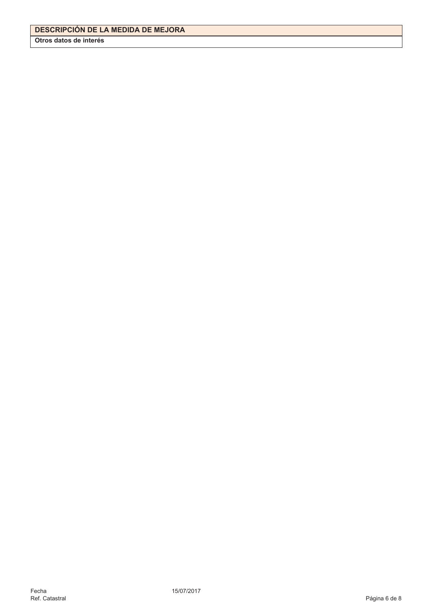Otros datos de interés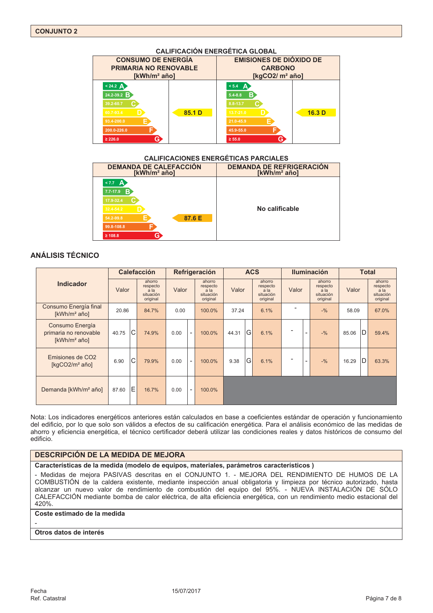#### **CALIFICACIÓN ENERGÉTICA GLOBAL CONSUMO DE ENERGÍA EMISIONES DE DIÓXIDO DE PRIMARIA NO RENOVABLE CARBONO** [kWh/m<sup>2</sup> año] [kgCO2/ m<sup>2</sup> año]  $< 24.2 \text{ A}$  $< 5.4 \quad \Delta$  $24.2 - 39.2$  R 85.1 D  $16.3<sub>D</sub>$  $\geq 226.0$  $\geq 55.0$

#### CALIFICACIONES ENFRGÉTICAS PARCIALES

| <b>DEMANDA DE CALEFACCIÓN</b><br>[kWh/m <sup>2</sup> año]                                                           | <b>DEMANDA DE REFRIGERACIÓN</b><br>[kWh/m <sup>2</sup> año] |  |  |  |  |  |  |  |  |  |  |  |
|---------------------------------------------------------------------------------------------------------------------|-------------------------------------------------------------|--|--|--|--|--|--|--|--|--|--|--|
| < 7.7<br>A<br>в<br>$7.7 - 17.9$<br>17.9-32.4<br>32.4-54.2<br>87.6 E<br>54.2-99.8<br>99.8-108.8<br>G<br>$\geq 108.8$ | No calificable                                              |  |  |  |  |  |  |  |  |  |  |  |

# **ANÁLISIS TÉCNICO**

|                                                                      | <b>Calefacción</b> |   |                                                     |       | Refrigeración            |                                                     |       | <b>ACS</b> |                                                     |       |                          | <b>Iluminación</b>                                  | <b>Total</b> |   |                                                     |
|----------------------------------------------------------------------|--------------------|---|-----------------------------------------------------|-------|--------------------------|-----------------------------------------------------|-------|------------|-----------------------------------------------------|-------|--------------------------|-----------------------------------------------------|--------------|---|-----------------------------------------------------|
| <b>Indicador</b>                                                     | Valor              |   | ahorro<br>respecto<br>a la<br>situación<br>original | Valor |                          | ahorro<br>respecto<br>a la<br>situación<br>original | Valor |            | ahorro<br>respecto<br>a la<br>situación<br>original | Valor |                          | ahorro<br>respecto<br>a la<br>situación<br>original | Valor        |   | ahorro<br>respecto<br>a la<br>situación<br>original |
| Consumo Energía final<br>[kWh/m <sup>2</sup> año]                    | 20.86              |   | 84.7%                                               | 0.00  |                          | 100.0%                                              | 37.24 |            | 6.1%                                                |       |                          | $-9/6$                                              | 58.09        |   | 67.0%                                               |
| Consumo Energía<br>primaria no renovable<br>[kWh/m <sup>2</sup> año] | 40.75              | C | 74.9%                                               | 0.00  | $\overline{\phantom{a}}$ | 100.0%                                              | 44.31 | G          | 6.1%                                                |       | $\overline{\phantom{a}}$ | $-9/6$                                              | 85.06        | D | 59.4%                                               |
| Emisiones de CO <sub>2</sub><br>[ $kgCO2/m2$ año]                    | 6.90               | C | 79.9%                                               | 0.00  | $\overline{\phantom{a}}$ | 100.0%                                              | 9.38  | G          | 6.1%                                                |       | $\overline{\phantom{a}}$ | $-9/6$                                              | 16.29        | D | 63.3%                                               |
| Demanda [kWh/m <sup>2</sup> año]                                     | 87.60              | E | 16.7%                                               | 0.00  | $\overline{\phantom{a}}$ | 100.0%                                              |       |            |                                                     |       |                          |                                                     |              |   |                                                     |

Nota: Los indicadores energéticos anteriores están calculados en base a coeficientes estándar de operación y funcionamiento del edificio, por lo que solo son válidos a efectos de su calificación energética. Para el análisis económico de las medidas de ahorro y eficiencia energética, el técnico certificador deberá utilizar las condiciones reales y datos históricos de consumo del edificio.

#### **DESCRIPCIÓN DE LA MEDIDA DE MEJORA**

Características de la medida (modelo de equipos, materiales, parámetros característicos)

- Medidas de meiora PASIVAS descritas en el CONJUNTO 1. - MEJORA DEL RENDIMIENTO DE HUMOS DE LA COMBUSTIÓN de la caldera existente, mediante inspección anual obligatoria y limpieza por técnico autorizado, hasta alcanzar un nuevo valor de rendimiento de combustión del equipo del 95%. - NUEVA INSTALACIÓN DE SÓLO CALEFACCIÓN mediante bomba de calor eléctrica, de alta eficiencia energética, con un rendimiento medio estacional del 420%.

# Coste estimado de la medida

#### Otros datos de interés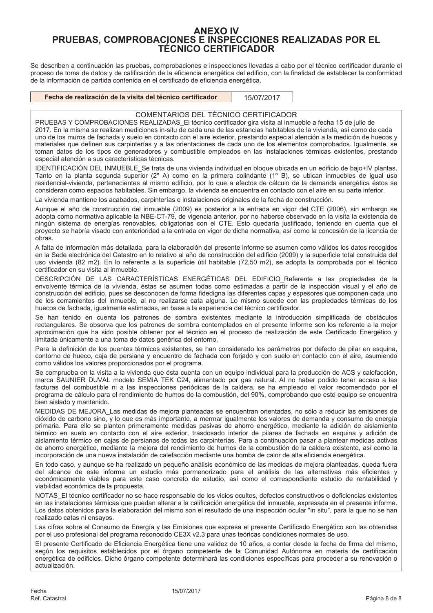# **ANEXO IV** PRUEBAS, COMPROBACIONES E INSPECCIONES REALIZADAS POR EL **TÉCNICO CERTIFICADOR**

Se describen a continuación las pruebas, comprobaciones e inspecciones llevadas a cabo por el técnico certificador durante el proceso de toma de datos y de calificación de la eficiencia energética del edificio, con la finalidad de establecer la conformidad de la información de partida contenida en el certificado de eficiencia energética.

| Fecha de realización de la visita del técnico certificador | 15/07/2017 |
|------------------------------------------------------------|------------|
|------------------------------------------------------------|------------|

#### COMENTARIOS DEL TÉCNICO CERTIFICADOR

PRUEBAS Y COMPROBACIONES REALIZADAS El técnico certificador gira visita al inmueble a fecha 15 de julio de 2017. En la misma se realizan mediciones in-situ de cada una de las estancias habitables de la vivienda, así como de cada uno de los muros de fachada y suelo en contacto con el aire exterior, prestando especial atención a la medición de huecos y materiales que definen sus carpinterías y a las orientaciones de cada uno de los elementos comprobados. Igualmente, se toman datos de los tipos de generadores y combustible empleados en las instalaciones térmicas existentes, prestando especial atención a sus características técnicas.

IDENTIFICACIÓN DEL INMUEBLE\_Se trata de una vivienda individual en bloque ubicada en un edificio de bajo+IV plantas. Tanto en la planta segunda superior (2º A) como en la primera colindante (1º B), se ubican inmuebles de igual uso<br>residencial-vivienda, pertenecientes al mismo edificio, por lo que a efectos de cálculo de la demanda energé consideran como espacios habitables. Sin embargo, la vivienda se encuentra en contacto con el aire en su parte inferior.

La vivienda mantiene los acabados, carpinterías e instalaciones originales de la fecha de construcción

Aunque el año de construcción del inmueble (2009) es posterior a la entrada en vigor del CTE (2006), sin embargo se adopta como normativa aplicable la NBE-CT-79, de vigencia anterior, por no haberse observado en la visita la existencia de<br>ningún sistema de energías renovables, obligatorias con el CTE. Esto quedaría justificado, teniendo provecto se habría visado con anterioridad a la entrada en vigor de dicha normativa, así como la concesión de la licencia de obras.

A falta de información más detallada, para la elaboración del presente informe se asumen como válidos los datos recogidos en la Sede electrónica del Catastro en lo relativo al año de construcción del edificio (2009) y la superficie total construida del uso vivienda (82 m2). En lo referente a la superficie útil habitable (72,50 m2), se adopta la comprobada por el técnico certificador en su visita al inmueble.

DESCRIPCIÓN DE LAS CARACTERÍSTICAS ENERGÉTICAS DEL EDIFICIO Referente a las propiedades de la envolvente térmica de la vivienda, éstas se asumen todas como estimadas a partir de la inspección visual y el año de construcción del edificio, pues se desconocen de forma fidedigna las diferentes capas y espesores que componen cada uno de los cerramientos del inmueble, al no realizarse cata alguna. Lo mismo sucede con las propiedades térmicas de los huecos de fachada, igualmente estimadas, en base a la experiencia del técnico certificador.

Se han tenido en cuenta los patrones de sombra existentes mediante la introducción simplificada de obstáculos rectangulares. Se observa que los patrones de sombra contemplados en el presente Informe son los referente a la mejor aproximación que ha sido posible obtener por el técnico en el proceso de realización de este Certificado Energético y limitada únicamente a una toma de datos genérica del entorno.

Para la definición de los puentes térmicos existentes, se han considerado los parámetros por defecto de pilar en esquina, contorno de hueco, caja de persiana y encuentro de fachada con forjado y con suelo en contacto con el aire, asumiendo como válidos los valores proporcionados por el programa.

Se comprueba en la visita a la vivienda que ésta cuenta con un equipo individual para la producción de ACS y calefacción, marca SAUNIER DUVAL modelo SEMIA TEK C24, alimentado por gas natural. Al no haber podido tener acceso a las facturas del combustible ni a las inspecciones periódicas de la caldera, se ha empleado el valor recomendado por el programa de cálculo para el rendimiento de humos de la combustión, del 90%, comprobando que este equipo se encuentra bien aislado y mantenido.

MEDIDAS DE MEJORA Las medidas de mejora planteadas se encuentran orientadas, no sólo a reducir las emisiones de dióxido de carbono sino, y lo que es más importante, a mermar igualmente los valores de demanda y consumo de energía primaria. Para ello se planten primeramente medidas pasivas de ahorro energético, mediante la adición de aislamiento térmico en suelo en contacto con el aire exterior, trasdosado interior de pilares de fachada en esquina y adición de aislamiento térmico en cajas de persianas de todas las carpinterías. Para a continuación pasar a plantear medidas activas de ahorro energético, mediante la mejora del rendimiento de humos de la combustión de la caldera existente, así como la incorporación de una nueva instalación de calefacción mediante una bomba de calor de alta eficiencia energética.

En todo caso, y aunque se ha realizado un pequeño análisis económico de las medidas de mejora planteadas, queda fuera del alcance de este informe un estudio más pormenorizado para el análisis de las alternativas más eficientes y económicamente viables para este caso concreto de estudio, así como el correspondiente estudio de rentabilidad y viabilidad económica de la propuesta.

NOTAS El técnico certificador no se hace responsable de los vicios ocultos, defectos constructivos o deficiencias existentes en las instalaciones térmicas que puedan alterar a la calificación energética del inmueble, expresada en el presente informe. Los datos obtenidos para la elaboración del mismo son el resultado de una inspección ocular "in situ", para la que no se han realizado catas ni ensayos.

Las cifras sobre el Consumo de Energía y las Emisiones que expresa el presente Certificado Energético son las obtenidas por el uso profesional del programa reconocido CE3X v2.3 para unas teóricas condiciones normales de uso.

El presente Certificado de Eficiencia Energética tiene una validez de 10 años, a contar desde la fecha de firma del mismo, según los requisitos establecidos por el órgano competente de la Comunidad Autónoma en materia de certificación energética de edificios. Dicho órgano competente determinará las condiciones específicas para proceder a su renovación o actualización.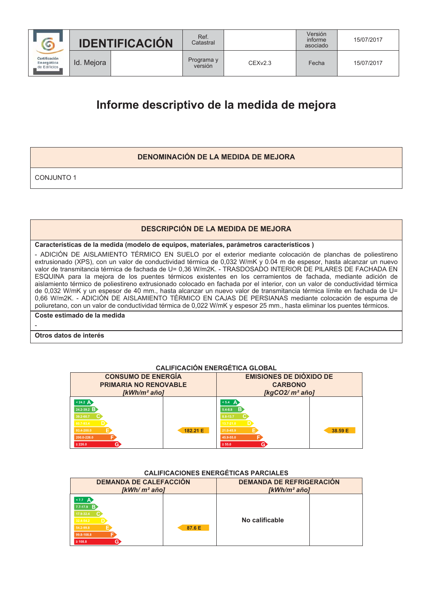

Id. Mejora

Ref.

Catastral

 $CFXV2.3$ 

Fecha

15/07/2017

# Informe descriptivo de la medida de mejora

# **DENOMINACIÓN DE LA MEDIDA DE MEJORA**

**CONJUNTO 1** 

# **DESCRIPCIÓN DE LA MEDIDA DE MEJORA**

# Características de la medida (modelo de equipos, materiales, parámetros característicos)

- ADICIÓN DE AISLAMIENTO TÉRMICO EN SUELO por el exterior mediante colocación de planchas de poliestireno extrusionado (XPS), con un valor de conductividad térmica de 0,032 W/mK y 0.04 m de espesor, hasta alcanzar un nuevo valor de transmitancia térmica de fachada de U= 0,36 W/m2K. - TRASDOSADO INTERIOR DE PILARES DE FACHADA EN ESQUINA para la mejora de los puentes térmicos existentes en los cerramientos de fachada, mediante adición de aislamiento térmico de poliestireno extrusionado colocado en fachada por el interior, con un valor de conductividad térmica de 0,032 W/mK y un espesor de 40 mm., hasta alcanzar un nuevo valor de transmitancia térmica límite en fachada de U= 0.66 W/m2K. - ADICIÓN DE AISLAMIENTO TÉRMICO EN CAJAS DE PERSIANAS mediante colocación de espuma de poliuretano, con un valor de conductividad térmica de 0,022 W/mK y espesor 25 mm., hasta eliminar los puentes térmicos.

Coste estimado de la medida

# Otros datos de interés

# **CALIFICACIÓN ENERGÉTICA GLOBAL**

| <b>CONSUMO DE ENERGÍA</b><br><b>PRIMARIA NO RENOVABLE</b><br>[kWh/m <sup>2</sup> año]                                       |          | <b>EMISIONES DE DIÓXIDO DE</b><br><b>CARBONO</b><br>[kgCO2/ $m^2$ año]                                             |         |  |  |  |  |  |  |
|-----------------------------------------------------------------------------------------------------------------------------|----------|--------------------------------------------------------------------------------------------------------------------|---------|--|--|--|--|--|--|
| $< 24.2 \text{ A}$<br>24.2-39.2 $\overline{B}$<br>39.2-60.7<br>60.7-93.4<br>93.4-200.0<br>200.0-226.0<br>G)<br>$\geq 226.0$ | 182.21 E | $< 5.4 \quad \Delta$<br>B<br>$5,4-8,8$<br>8.8-13.7<br>$13.7 - 21.0$<br>21.0-45.9<br>45.9-55.0<br>G.<br>$\geq 55.0$ | 38.59 E |  |  |  |  |  |  |

# **CALIFICACIONES ENERGÉTICAS PARCIALES**

| <b>DEMANDA DE CALEFACCIÓN</b><br>$KWh/m^2$ añol                                                          |        | <b>DEMANDA DE REFRIGERACIÓN</b><br>$KWh/m^2$ añol |  |  |  |  |  |  |
|----------------------------------------------------------------------------------------------------------|--------|---------------------------------------------------|--|--|--|--|--|--|
| $\leq 7.7$ A<br>$7.7 - 17.9$ B<br>17.9-32.4<br>32.4-54.2<br>54.2-99.8<br>99.8-108.8<br>G<br>$\geq 108.8$ | 87.6 E | No calificable                                    |  |  |  |  |  |  |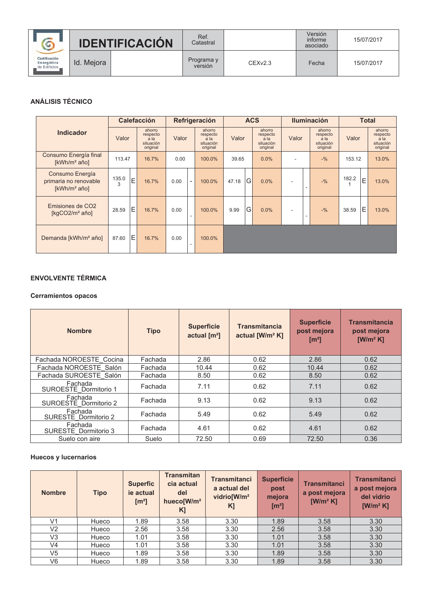|                                             |            | <b>IDENTIFICACIÓN</b> | Ref.<br>Catastral     |         | Versión<br>informe<br>asociado | 15/07/2017 |  |  |
|---------------------------------------------|------------|-----------------------|-----------------------|---------|--------------------------------|------------|--|--|
| Certificación<br>Energética<br>de Edificios | Id. Mejora |                       | Programa y<br>versión | CEXv2.3 | Fecha                          | 15/07/2017 |  |  |

# **ANÁLISIS TÉCNICO**

|                                                                      | <b>Calefacción</b> |   |                                                       |       | Refrigeración            |                                                     |       | <b>ACS</b> |                                                                |                |                          | <b>Iluminación</b>                                  | <b>Total</b> |   |                                                     |
|----------------------------------------------------------------------|--------------------|---|-------------------------------------------------------|-------|--------------------------|-----------------------------------------------------|-------|------------|----------------------------------------------------------------|----------------|--------------------------|-----------------------------------------------------|--------------|---|-----------------------------------------------------|
| <b>Indicador</b>                                                     | Valor              |   | ahorro<br>respecto<br>$a$ la<br>situación<br>original | Valor |                          | ahorro<br>respecto<br>a la<br>situación<br>original | Valor |            | ahorro<br>respecto<br>a <sub>la</sub><br>situación<br>original | Valor          |                          | ahorro<br>respecto<br>a la<br>situación<br>original | Valor        |   | ahorro<br>respecto<br>a la<br>situación<br>original |
| Consumo Energía final<br>[kWh/m <sup>2</sup> año]                    | 113.47             |   | 16.7%                                                 | 0.00  |                          | 100.0%                                              | 39.65 |            | 0.0%                                                           |                |                          | $-9/6$                                              | 153.12       |   | 13.0%                                               |
| Consumo Energía<br>primaria no renovable<br>[kWh/m <sup>2</sup> año] | 135.0<br>3         | E | 16.7%                                                 | 0.00  | $\overline{\phantom{a}}$ | 100.0%                                              | 47.18 | G          | 0.0%                                                           | $\blacksquare$ | $\overline{\phantom{a}}$ | $-9/6$                                              | 182.2        | E | 13.0%                                               |
| Emisiones de CO <sub>2</sub><br>[ $kgCO2/m2$ año]                    | 28.59              | E | 16.7%                                                 | 0.00  | $\overline{\phantom{a}}$ | 100.0%                                              | 9.99  | G          | 0.0%                                                           |                | $\overline{\phantom{a}}$ | $-9/6$                                              | 38.59        | Ε | 13.0%                                               |
| Demanda [kWh/m <sup>2</sup> año]                                     | 87.60              | Ε | 16.7%                                                 | 0.00  | $\overline{\phantom{a}}$ | 100.0%                                              |       |            |                                                                |                |                          |                                                     |              |   |                                                     |

# **ENVOLVENTE TÉRMICA**

# **Cerramientos opacos**

| <b>Nombre</b>                    | <b>Tipo</b> | <b>Superficie</b><br>actual $\text{[m}^2\text{]}$ | <b>Transmitancia</b><br>actual [W/m <sup>2</sup> K] | <b>Superficie</b><br>post mejora<br>$\mathrm{[m^2]}$ | <b>Transmitancia</b><br>post mejora<br>$[W/m^2 K]$ |
|----------------------------------|-------------|---------------------------------------------------|-----------------------------------------------------|------------------------------------------------------|----------------------------------------------------|
| Fachada NOROESTE Cocina          | Fachada     | 2.86                                              | 0.62                                                | 2.86                                                 | 0.62                                               |
| Fachada NOROESTE Salón           | Fachada     | 10.44                                             | 0.62                                                | 10.44                                                | 0.62                                               |
| Fachada SUROESTE Salón           | Fachada     | 8.50                                              | 0.62                                                | 8.50                                                 | 0.62                                               |
| Fachada<br>SUROESTE Dormitorio 1 | Fachada     | 7.11                                              | 0.62                                                | 7.11                                                 | 0.62                                               |
| Fachada<br>SUROESTE Dormitorio 2 | Fachada     | 9.13                                              | 0.62                                                | 9.13                                                 | 0.62                                               |
| Fachada<br>SURESTE Dormitorio 2  | Fachada     | 5.49                                              | 0.62                                                | 5.49                                                 | 0.62                                               |
| Fachada<br>SURESTE Dormitorio 3  | Fachada     | 4.61                                              | 0.62                                                | 4.61                                                 | 0.62                                               |
| Suelo con aire                   | Suelo       | 72.50                                             | 0.69                                                | 72.50                                                | 0.36                                               |

# **Huecos y lucernarios**

| <b>Nombre</b>  | <b>Tipo</b> | <b>Superfic</b><br>ie actual<br>[m <sup>2</sup> ] | <b>Transmitan</b><br>cia actual<br>del<br>hueco[W/m <sup>2</sup><br>$K$ ] | <b>Transmitanci</b><br>a actual del<br>vidrio[W/m <sup>2</sup><br>K] | <b>Superficie</b><br>post<br>mejora<br>[m <sup>2</sup> ] | <b>Transmitanci</b><br>a post mejora<br>$[W/m^2 K]$ | <b>Transmitanci</b><br>a post mejora<br>del vidrio<br>$[W/m^2 K]$ |
|----------------|-------------|---------------------------------------------------|---------------------------------------------------------------------------|----------------------------------------------------------------------|----------------------------------------------------------|-----------------------------------------------------|-------------------------------------------------------------------|
| V <sub>1</sub> | Hueco       | 1.89                                              | 3.58                                                                      | 3.30                                                                 | 1.89                                                     | 3.58                                                | 3.30                                                              |
| V <sub>2</sub> | Hueco       | 2.56                                              | 3.58                                                                      | 3.30                                                                 | 2.56                                                     | 3.58                                                | 3.30                                                              |
| V3             | Hueco       | 1.01                                              | 3.58                                                                      | 3.30                                                                 | 1.01                                                     | 3.58                                                | 3.30                                                              |
| V <sub>4</sub> | Hueco       | 1.01                                              | 3.58                                                                      | 3.30                                                                 | 1.01                                                     | 3.58                                                | 3.30                                                              |
| V5             | Hueco       | 1.89                                              | 3.58                                                                      | 3.30                                                                 | 1.89                                                     | 3.58                                                | 3.30                                                              |
| V6             | Hueco       | 1.89                                              | 3.58                                                                      | 3.30                                                                 | 1.89                                                     | 3.58                                                | 3.30                                                              |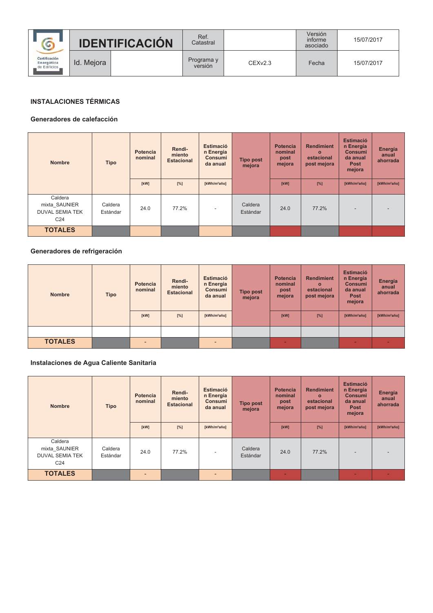|                                              |            | <b>IDENTIFICACIÓN</b> | Ref.<br>Catastral     |         | Versión<br>informe<br>asociado | 15/07/2017 |
|----------------------------------------------|------------|-----------------------|-----------------------|---------|--------------------------------|------------|
| Certificación<br>Energética<br>de Edificios. | Id. Meiora |                       | Programa y<br>versión | CEXv2.3 | Fecha                          | 15/07/2017 |

# **INSTALACIONES TÉRMICAS**

#### Generadores de calefacción

| <b>Nombre</b>                                                         | <b>Tipo</b>         | <b>Potencia</b><br>nominal | Rendi-<br>miento<br><b>Estacional</b> | Estimació<br>n Energía<br><b>Consumi</b><br>da anual | <b>Tipo post</b><br>mejora | <b>Potencia</b><br>nominal<br>post<br>mejora | <b>Rendimient</b><br>$\Omega$<br>estacional<br>post mejora | <b>Estimació</b><br>n Energía<br><b>Consumi</b><br>da anual<br><b>Post</b><br>mejora | Energía<br>anual<br>ahorrada |
|-----------------------------------------------------------------------|---------------------|----------------------------|---------------------------------------|------------------------------------------------------|----------------------------|----------------------------------------------|------------------------------------------------------------|--------------------------------------------------------------------------------------|------------------------------|
|                                                                       |                     | [kW]                       | $[\%]$                                | [kWh/m <sup>2</sup> año]                             |                            | [kW]                                         | [%]                                                        | [kWh/m <sup>2</sup> año]                                                             | [kWh/m <sup>2</sup> año]     |
| Caldera<br>mixta SAUNIER<br><b>DUVAL SEMIA TEK</b><br>C <sub>24</sub> | Caldera<br>Estándar | 24.0                       | 77.2%                                 | $\overline{\phantom{a}}$                             | Caldera<br>Estándar        | 24.0                                         | 77.2%                                                      |                                                                                      |                              |
| <b>TOTALES</b>                                                        |                     |                            |                                       |                                                      |                            |                                              |                                                            |                                                                                      |                              |

# Generadores de refrigeración

| <b>Nombre</b>  | <b>Tipo</b> | <b>Potencia</b><br>nominal | Rendi-<br>miento<br><b>Estacional</b> | Estimació<br>n Energía<br>Consumi<br>da anual | <b>Tipo post</b><br>mejora | <b>Potencia</b><br>nominal<br>post<br>mejora | <b>Rendimient</b><br>$\Omega$<br>estacional<br>post mejora | <b>Estimació</b><br>n Energía<br><b>Consumi</b><br>da anual<br><b>Post</b><br>mejora | Energía<br>anual<br>ahorrada |
|----------------|-------------|----------------------------|---------------------------------------|-----------------------------------------------|----------------------------|----------------------------------------------|------------------------------------------------------------|--------------------------------------------------------------------------------------|------------------------------|
|                |             | [kW]                       | $[\%]$                                | [kWh/m <sup>2</sup> año]                      |                            | [kW]                                         | $[\%]$                                                     | [kWh/m <sup>2</sup> año]                                                             | [kWh/m <sup>2</sup> año]     |
|                |             |                            |                                       |                                               |                            |                                              |                                                            |                                                                                      |                              |
| <b>TOTALES</b> |             | $\overline{a}$             |                                       | $\overline{\phantom{0}}$                      |                            | -                                            |                                                            | $\overline{\phantom{0}}$                                                             |                              |

# Instalaciones de Agua Caliente Sanitaria

| <b>Nombre</b>                                                         | <b>Tipo</b>         | <b>Potencia</b><br>nominal | Rendi-<br>miento<br><b>Estacional</b> | <b>Estimació</b><br>n Energía<br><b>Consumi</b><br>da anual | <b>Tipo post</b><br>mejora | <b>Potencia</b><br>nominal<br>post<br>mejora | <b>Rendimient</b><br>$\Omega$<br>estacional<br>post mejora | <b>Estimació</b><br>n Energía<br><b>Consumi</b><br>da anual<br><b>Post</b><br>mejora | Energía<br>anual<br>ahorrada |
|-----------------------------------------------------------------------|---------------------|----------------------------|---------------------------------------|-------------------------------------------------------------|----------------------------|----------------------------------------------|------------------------------------------------------------|--------------------------------------------------------------------------------------|------------------------------|
|                                                                       |                     | [kW]                       | $[\%]$                                | [kWh/m <sup>2</sup> año]                                    |                            | [kW]                                         | [%]                                                        | [kWh/m <sup>2</sup> año]                                                             | [kWh/m <sup>2</sup> año]     |
| Caldera<br>mixta_SAUNIER<br><b>DUVAL SEMIA TEK</b><br>C <sub>24</sub> | Caldera<br>Estándar | 24.0                       | 77.2%                                 |                                                             | Caldera<br>Estándar        | 24.0                                         | 77.2%                                                      |                                                                                      |                              |
| <b>TOTALES</b>                                                        |                     | $\blacksquare$             |                                       | $\overline{\phantom{0}}$                                    |                            | $\overline{\phantom{0}}$                     |                                                            |                                                                                      | -                            |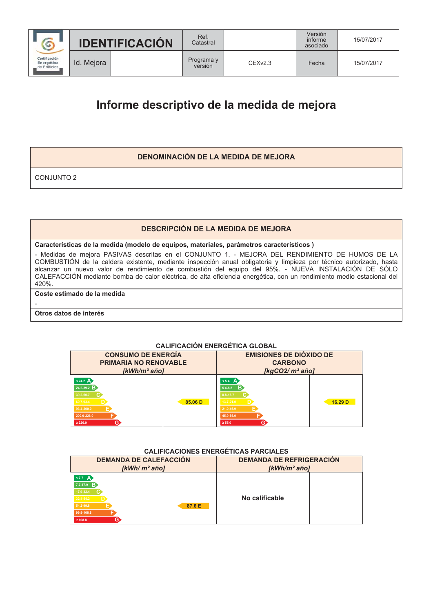

Ref.

Catastral

CEXv2.3

# Informe descriptivo de la medida de mejora

# **DENOMINACIÓN DE LA MEDIDA DE MEJORA**

**CONJUNTO 2** 

# **DESCRIPCIÓN DE LA MEDIDA DE MEJORA**

#### Características de la medida (modelo de equipos, materiales, parámetros característicos)

- Medidas de mejora PASIVAS descritas en el CONJUNTO 1. - MEJORA DEL RENDIMIENTO DE HUMOS DE LA COMBUSTIÓN de la caldera existente, mediante inspección anual obligatoria y limpieza por técnico autorizado, hasta<br>alcanzar un nuevo valor de rendimiento de combustión del equipo del 95%. - NUEVA INSTALACIÓN DE SÓLO CALEFACCIÓN mediante bomba de calor eléctrica, de alta eficiencia energética, con un rendimiento medio estacional del 420%.

# Coste estimado de la medida

# Otros datos de interés

# **CALIFICACIÓN ENERGÉTICA GLOBAL**

| <b>CONSUMO DE ENERGÍA</b><br><b>PRIMARIA NO RENOVABLE</b><br>[kWh/m <sup>2</sup> año]                             |         | <b>EMISIONES DE DIÓXIDO DE</b><br><b>CARBONO</b><br>[ $kgCO2/m2$ año]                                     |                    |  |  |  |  |  |  |  |  |
|-------------------------------------------------------------------------------------------------------------------|---------|-----------------------------------------------------------------------------------------------------------|--------------------|--|--|--|--|--|--|--|--|
| $< 24.2 \text{ A}$<br>$24.2 - 39.2$ B<br>39.2-60.7<br>60.7-93.4<br>93.4-200.0<br>200.0-226.0<br>G<br>$\geq 226.0$ | 85.06 D | $< 5.4$ A<br>-R<br>$5.4 - 8.8$<br>8.8-13.7<br>$13.7 - 21.0$<br>21.0-45.9<br>45.9-55.0<br>G<br>$\geq 55.0$ | 16.29 <sub>D</sub> |  |  |  |  |  |  |  |  |

#### **CALIFICACIONES ENERGÉTICAS PARCIALES**

| <b>DEMANDA DE CALEFACCIÓN</b><br>$I$ kWh/ m <sup>2</sup> añol                                                                     |        | <b>DEMANDA DE REFRIGERACIÓN</b><br>$KWh/m^2$ añol |  |  |  |  |
|-----------------------------------------------------------------------------------------------------------------------------------|--------|---------------------------------------------------|--|--|--|--|
| $\langle 7.7 \quad \text{A} \rangle$<br>$7.7 - 17.9$ B<br>17.9-32.4<br>32.4-54.2<br>54.2-99.8<br>99.8-108.8<br>G.<br>$\geq 108.8$ | 87.6 E | No calificable                                    |  |  |  |  |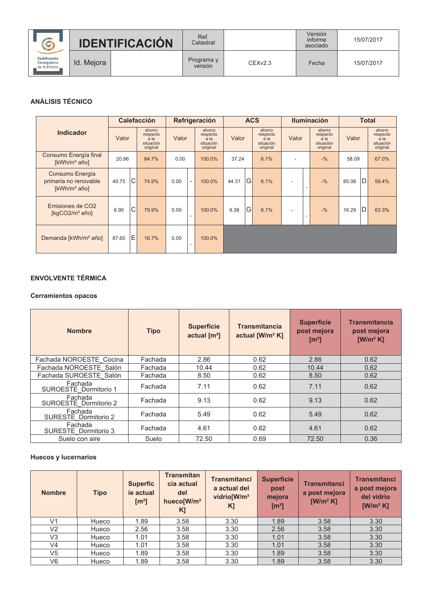|                                               |            | <b>IDENTIFICACIÓN</b> | Ref.<br>Catastral     |         | Versión<br>informe<br>asociado | 15/07/2017 |  |
|-----------------------------------------------|------------|-----------------------|-----------------------|---------|--------------------------------|------------|--|
| Certificación<br>Energética<br>de Edificios _ | Id. Meiora |                       | Programa y<br>versión | CEXv2.3 | Fecha                          | 15/07/2017 |  |

# **ANÁLISIS TÉCNICO**

|                                                                      |       |   | <b>Calefacción</b>                                  |       |                          | Refrigeración                                       |       | <b>ACS</b> |                                                     |                |                          | <b>Iluminación</b>                                  | <b>Total</b> |   |                                                     |
|----------------------------------------------------------------------|-------|---|-----------------------------------------------------|-------|--------------------------|-----------------------------------------------------|-------|------------|-----------------------------------------------------|----------------|--------------------------|-----------------------------------------------------|--------------|---|-----------------------------------------------------|
| <b>Indicador</b>                                                     | Valor |   | ahorro<br>respecto<br>a la<br>situación<br>original | Valor |                          | ahorro<br>respecto<br>a la<br>situación<br>original | Valor |            | ahorro<br>respecto<br>a la<br>situación<br>original | Valor          |                          | ahorro<br>respecto<br>a la<br>situación<br>original | Valor        |   | ahorro<br>respecto<br>a la<br>situación<br>original |
| Consumo Energía final<br>[kWh/m <sup>2</sup> año]                    | 20.86 |   | 84.7%                                               | 0.00  |                          | 100.0%                                              | 37.24 |            | 6.1%                                                |                |                          | $-9/6$                                              | 58.09        |   | 67.0%                                               |
| Consumo Energía<br>primaria no renovable<br>[kWh/m <sup>2</sup> año] | 40.75 | C | 74.9%                                               | 0.00  | $\overline{\phantom{a}}$ | 100.0%                                              | 44.31 | G          | 6.1%                                                | $\blacksquare$ | $\overline{\phantom{a}}$ | $-9/6$                                              | 85.06        | D | 59.4%                                               |
| Emisiones de CO <sub>2</sub><br>[ $kgCO2/m2$ año]                    | 6.90  | C | 79.9%                                               | 0.00  | ٠                        | 100.0%                                              | 9.38  | G          | 6.1%                                                | $\blacksquare$ | $\overline{\phantom{a}}$ | $-9/6$                                              | 16.29        | D | 63.3%                                               |
| Demanda [kWh/m <sup>2</sup> año]                                     | 87.60 | E | 16.7%                                               | 0.00  | $\overline{\phantom{a}}$ | 100.0%                                              |       |            |                                                     |                |                          |                                                     |              |   |                                                     |

# **ENVOLVENTE TÉRMICA**

# **Cerramientos opacos**

| <b>Nombre</b>                    | <b>Tipo</b> | <b>Superficie</b><br>actual $\text{[m}^2\text{]}$ | <b>Transmitancia</b><br>actual [W/m <sup>2</sup> K] | <b>Superficie</b><br>post mejora<br>[m <sup>2</sup> ] | <b>Transmitancia</b><br>post mejora<br>$[W/m^2 K]$ |
|----------------------------------|-------------|---------------------------------------------------|-----------------------------------------------------|-------------------------------------------------------|----------------------------------------------------|
| Fachada NOROESTE Cocina          | Fachada     | 2.86                                              | 0.62                                                | 2.86                                                  | 0.62                                               |
| Fachada NOROESTE Salón           | Fachada     | 10.44                                             | 0.62                                                | 10.44                                                 | 0.62                                               |
| Fachada SUROESTE Salón           | Fachada     | 8.50                                              | 0.62                                                | 8.50                                                  | 0.62                                               |
| Fachada<br>SUROESTE Dormitorio 1 | Fachada     | 7.11                                              | 0.62                                                | 7.11                                                  | 0.62                                               |
| Fachada<br>SUROESTE Dormitorio 2 | Fachada     | 9.13                                              | 0.62                                                | 9.13                                                  | 0.62                                               |
| Fachada<br>SURESTE Dormitorio 2  | Fachada     | 5.49                                              | 0.62                                                | 5.49                                                  | 0.62                                               |
| Fachada<br>SURESTE Dormitorio 3  | Fachada     | 4.61                                              | 0.62                                                | 4.61                                                  | 0.62                                               |
| Suelo con aire                   | Suelo       | 72.50                                             | 0.69                                                | 72.50                                                 | 0.36                                               |

# **Huecos y lucernarios**

| <b>Nombre</b>  | <b>Tipo</b> | <b>Superfic</b><br>ie actual<br>[m <sup>2</sup> ] | <b>Transmitan</b><br>cia actual<br>del<br>hueco[W/m <sup>2</sup><br>$K$ ] | <b>Transmitanci</b><br>a actual del<br>vidrio[W/m <sup>2</sup><br>K] | <b>Superficie</b><br>post<br>mejora<br>[m <sup>2</sup> ] | <b>Transmitanci</b><br>a post mejora<br>$[W/m^2 K]$ | <b>Transmitanci</b><br>a post mejora<br>del vidrio<br>$[W/m^2 K]$ |
|----------------|-------------|---------------------------------------------------|---------------------------------------------------------------------------|----------------------------------------------------------------------|----------------------------------------------------------|-----------------------------------------------------|-------------------------------------------------------------------|
| V <sub>1</sub> | Hueco       | 1.89                                              | 3.58                                                                      | 3.30                                                                 | 1.89                                                     | 3.58                                                | 3.30                                                              |
| V <sub>2</sub> | Hueco       | 2.56                                              | 3.58                                                                      | 3.30                                                                 | 2.56                                                     | 3.58                                                | 3.30                                                              |
| V3             | Hueco       | 1.01                                              | 3.58                                                                      | 3.30                                                                 | 1.01                                                     | 3.58                                                | 3.30                                                              |
| V <sub>4</sub> | Hueco       | 1.01                                              | 3.58                                                                      | 3.30                                                                 | 1.01                                                     | 3.58                                                | 3.30                                                              |
| V <sub>5</sub> | Hueco       | 1.89                                              | 3.58                                                                      | 3.30                                                                 | 1.89                                                     | 3.58                                                | 3.30                                                              |
| V <sub>6</sub> | Hueco       | 1.89                                              | 3.58                                                                      | 3.30                                                                 | 1.89                                                     | 3.58                                                | 3.30                                                              |